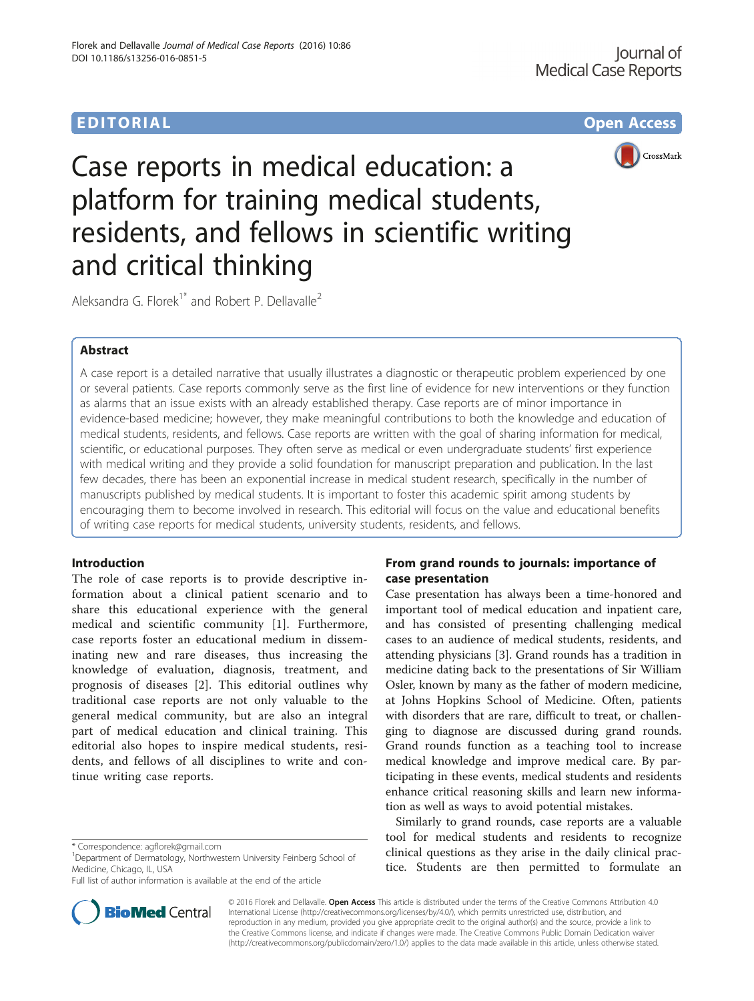# EDITORIAL AND INTERNATIONAL CONTRACT CONTRACT CONTRACT CONTRACT CONTRACT CONTRACT CONTRACT CONTRACT CONTRACT CO



Case reports in medical education: a platform for training medical students, residents, and fellows in scientific writing and critical thinking

Aleksandra G. Florek<sup>1\*</sup> and Robert P. Dellavalle<sup>2</sup>

## Abstract

A case report is a detailed narrative that usually illustrates a diagnostic or therapeutic problem experienced by one or several patients. Case reports commonly serve as the first line of evidence for new interventions or they function as alarms that an issue exists with an already established therapy. Case reports are of minor importance in evidence-based medicine; however, they make meaningful contributions to both the knowledge and education of medical students, residents, and fellows. Case reports are written with the goal of sharing information for medical, scientific, or educational purposes. They often serve as medical or even undergraduate students' first experience with medical writing and they provide a solid foundation for manuscript preparation and publication. In the last few decades, there has been an exponential increase in medical student research, specifically in the number of manuscripts published by medical students. It is important to foster this academic spirit among students by encouraging them to become involved in research. This editorial will focus on the value and educational benefits of writing case reports for medical students, university students, residents, and fellows.

### Introduction

The role of case reports is to provide descriptive information about a clinical patient scenario and to share this educational experience with the general medical and scientific community [\[1](#page-2-0)]. Furthermore, case reports foster an educational medium in disseminating new and rare diseases, thus increasing the knowledge of evaluation, diagnosis, treatment, and prognosis of diseases [[2\]](#page-2-0). This editorial outlines why traditional case reports are not only valuable to the general medical community, but are also an integral part of medical education and clinical training. This editorial also hopes to inspire medical students, residents, and fellows of all disciplines to write and continue writing case reports.

Full list of author information is available at the end of the article



Case presentation has always been a time-honored and important tool of medical education and inpatient care, and has consisted of presenting challenging medical cases to an audience of medical students, residents, and attending physicians [\[3](#page-2-0)]. Grand rounds has a tradition in medicine dating back to the presentations of Sir William Osler, known by many as the father of modern medicine, at Johns Hopkins School of Medicine. Often, patients with disorders that are rare, difficult to treat, or challenging to diagnose are discussed during grand rounds. Grand rounds function as a teaching tool to increase medical knowledge and improve medical care. By participating in these events, medical students and residents enhance critical reasoning skills and learn new information as well as ways to avoid potential mistakes.

Similarly to grand rounds, case reports are a valuable tool for medical students and residents to recognize clinical questions as they arise in the daily clinical practice. Students are then permitted to formulate an



© 2016 Florek and Dellavalle. Open Access This article is distributed under the terms of the Creative Commons Attribution 4.0 International License [\(http://creativecommons.org/licenses/by/4.0/](http://creativecommons.org/licenses/by/4.0/)), which permits unrestricted use, distribution, and reproduction in any medium, provided you give appropriate credit to the original author(s) and the source, provide a link to the Creative Commons license, and indicate if changes were made. The Creative Commons Public Domain Dedication waiver [\(http://creativecommons.org/publicdomain/zero/1.0/](http://creativecommons.org/publicdomain/zero/1.0/)) applies to the data made available in this article, unless otherwise stated.

<sup>\*</sup> Correspondence: [agflorek@gmail.com](mailto:agflorek@gmail.com) <sup>1</sup>

<sup>&</sup>lt;sup>1</sup>Department of Dermatology, Northwestern University Feinberg School of Medicine, Chicago, IL, USA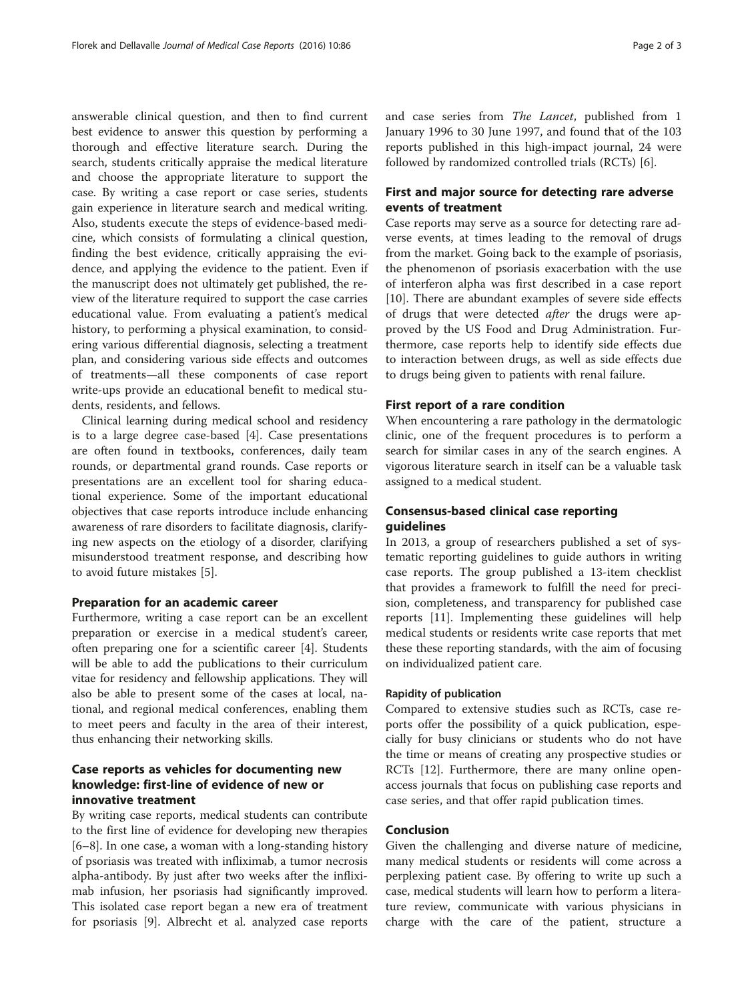answerable clinical question, and then to find current best evidence to answer this question by performing a thorough and effective literature search. During the search, students critically appraise the medical literature and choose the appropriate literature to support the case. By writing a case report or case series, students gain experience in literature search and medical writing. Also, students execute the steps of evidence-based medicine, which consists of formulating a clinical question, finding the best evidence, critically appraising the evidence, and applying the evidence to the patient. Even if the manuscript does not ultimately get published, the review of the literature required to support the case carries educational value. From evaluating a patient's medical history, to performing a physical examination, to considering various differential diagnosis, selecting a treatment plan, and considering various side effects and outcomes of treatments—all these components of case report write-ups provide an educational benefit to medical students, residents, and fellows.

Clinical learning during medical school and residency is to a large degree case-based [\[4](#page-2-0)]. Case presentations are often found in textbooks, conferences, daily team rounds, or departmental grand rounds. Case reports or presentations are an excellent tool for sharing educational experience. Some of the important educational objectives that case reports introduce include enhancing awareness of rare disorders to facilitate diagnosis, clarifying new aspects on the etiology of a disorder, clarifying misunderstood treatment response, and describing how to avoid future mistakes [[5](#page-2-0)].

#### Preparation for an academic career

Furthermore, writing a case report can be an excellent preparation or exercise in a medical student's career, often preparing one for a scientific career [[4\]](#page-2-0). Students will be able to add the publications to their curriculum vitae for residency and fellowship applications. They will also be able to present some of the cases at local, national, and regional medical conferences, enabling them to meet peers and faculty in the area of their interest, thus enhancing their networking skills.

## Case reports as vehicles for documenting new knowledge: first-line of evidence of new or innovative treatment

By writing case reports, medical students can contribute to the first line of evidence for developing new therapies [[6](#page-2-0)–[8\]](#page-2-0). In one case, a woman with a long-standing history of psoriasis was treated with infliximab, a tumor necrosis alpha-antibody. By just after two weeks after the infliximab infusion, her psoriasis had significantly improved. This isolated case report began a new era of treatment for psoriasis [[9](#page-2-0)]. Albrecht et al. analyzed case reports and case series from The Lancet, published from 1 January 1996 to 30 June 1997, and found that of the 103 reports published in this high-impact journal, 24 were followed by randomized controlled trials (RCTs) [[6\]](#page-2-0).

## First and major source for detecting rare adverse events of treatment

Case reports may serve as a source for detecting rare adverse events, at times leading to the removal of drugs from the market. Going back to the example of psoriasis, the phenomenon of psoriasis exacerbation with the use of interferon alpha was first described in a case report [[10\]](#page-2-0). There are abundant examples of severe side effects of drugs that were detected *after* the drugs were approved by the US Food and Drug Administration. Furthermore, case reports help to identify side effects due to interaction between drugs, as well as side effects due to drugs being given to patients with renal failure.

#### First report of a rare condition

When encountering a rare pathology in the dermatologic clinic, one of the frequent procedures is to perform a search for similar cases in any of the search engines. A vigorous literature search in itself can be a valuable task assigned to a medical student.

## Consensus-based clinical case reporting guidelines

In 2013, a group of researchers published a set of systematic reporting guidelines to guide authors in writing case reports. The group published a 13-item checklist that provides a framework to fulfill the need for precision, completeness, and transparency for published case reports [[11\]](#page-2-0). Implementing these guidelines will help medical students or residents write case reports that met these these reporting standards, with the aim of focusing on individualized patient care.

#### Rapidity of publication

Compared to extensive studies such as RCTs, case reports offer the possibility of a quick publication, especially for busy clinicians or students who do not have the time or means of creating any prospective studies or RCTs [\[12](#page-2-0)]. Furthermore, there are many online openaccess journals that focus on publishing case reports and case series, and that offer rapid publication times.

### Conclusion

Given the challenging and diverse nature of medicine, many medical students or residents will come across a perplexing patient case. By offering to write up such a case, medical students will learn how to perform a literature review, communicate with various physicians in charge with the care of the patient, structure a